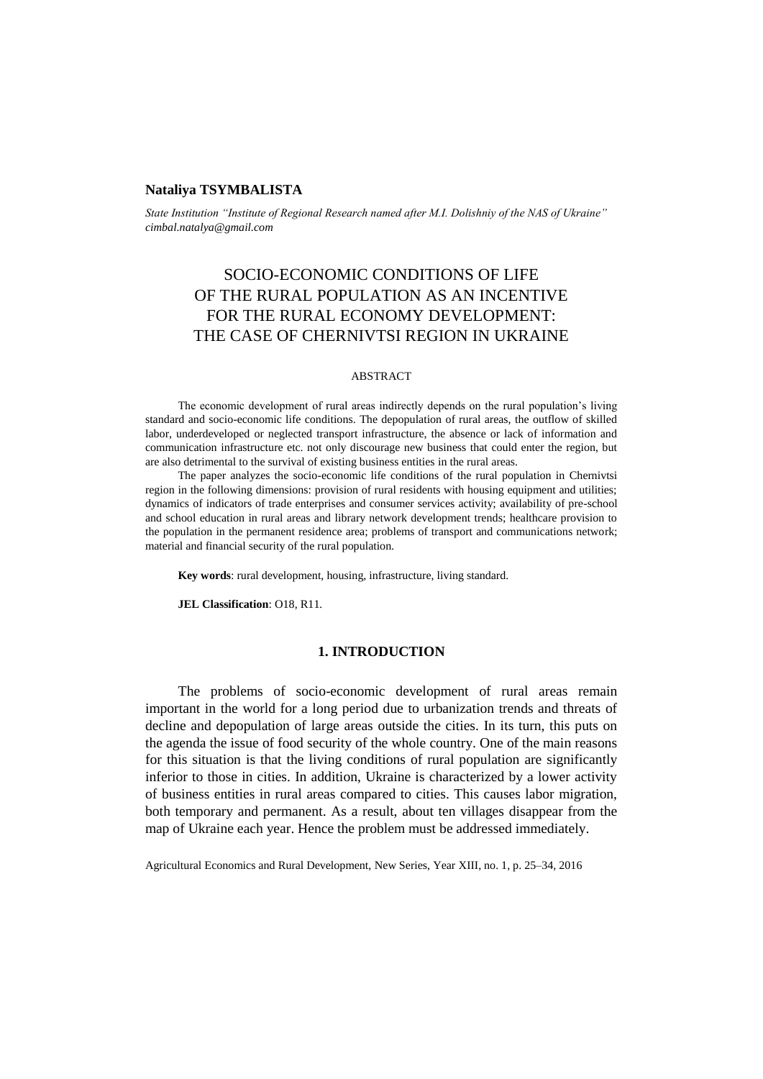## **Nataliya TSYMBALISTA**

*State Institution "Institute of Regional Research named after M.I. Dolishniy of the NAS of Ukraine" cimbal.natalya@gmail.com*

# SOCIO-ECONOMIC CONDITIONS OF LIFE OF THE RURAL POPULATION AS AN INCENTIVE FOR THE RURAL ECONOMY DEVELOPMENT: THE CASE OF CHERNIVTSI REGION IN UKRAINE

#### ABSTRACT

The economic development of rural areas indirectly depends on the rural population's living standard and socio-economic life conditions. The depopulation of rural areas, the outflow of skilled labor, underdeveloped or neglected transport infrastructure, the absence or lack of information and communication infrastructure etc. not only discourage new business that could enter the region, but are also detrimental to the survival of existing business entities in the rural areas.

The paper analyzes the socio-economic life conditions of the rural population in Chernivtsi region in the following dimensions: provision of rural residents with housing equipment and utilities; dynamics of indicators of trade enterprises and consumer services activity; availability of pre-school and school education in rural areas and library network development trends; healthcare provision to the population in the permanent residence area; problems of transport and communications network; material and financial security of the rural population.

**Key words**: rural development, housing, infrastructure, living standard.

**JEL Classification**: O18, R11*.*

## **1. INTRODUCTION**

The problems of socio-economic development of rural areas remain important in the world for a long period due to urbanization trends and threats of decline and depopulation of large areas outside the cities. In its turn, this puts on the agenda the issue of food security of the whole country. One of the main reasons for this situation is that the living conditions of rural population are significantly inferior to those in cities. In addition, Ukraine is characterized by a lower activity of business entities in rural areas compared to cities. This causes labor migration, both temporary and permanent. As a result, about ten villages disappear from the map of Ukraine each year. Hence the problem must be addressed immediately.

Agricultural Economics and Rural Development, New Series, Year XIII, no. 1, p. 25–34, 2016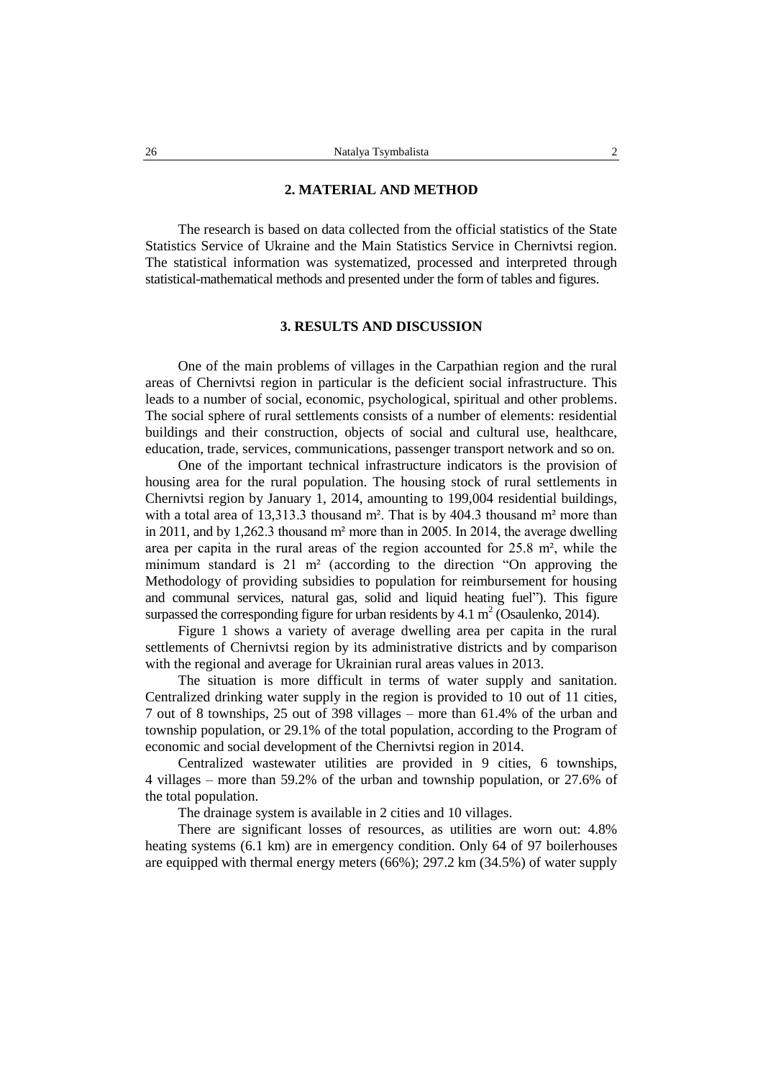### **2. MATERIAL AND METHOD**

The research is based on data collected from the official statistics of the State Statistics Service of Ukraine and the Main Statistics Service in Chernivtsi region. The statistical information was systematized, processed and interpreted through statistical-mathematical methods and presented under the form of tables and figures.

#### **3. RESULTS AND DISCUSSION**

One of the main problems of villages in the Carpathian region and the rural areas of Chernivtsi region in particular is the deficient social infrastructure. This leads to a number of social, economic, psychological, spiritual and other problems. The social sphere of rural settlements consists of a number of elements: residential buildings and their construction, objects of social and cultural use, healthcare, education, trade, services, communications, passenger transport network and so on.

One of the important technical infrastructure indicators is the provision of housing area for the rural population. The housing stock of rural settlements in Chernivtsi region by January 1, 2014, amounting to 199,004 residential buildings, with a total area of 13,313.3 thousand m<sup>2</sup>. That is by 404.3 thousand m<sup>2</sup> more than in 2011, and by 1,262.3 thousand m² more than in 2005. In 2014, the average dwelling area per capita in the rural areas of the region accounted for 25.8 m², while the minimum standard is  $21 \text{ m}^2$  (according to the direction "On approving the Methodology of providing subsidies to population for reimbursement for housing and communal services, natural gas, solid and liquid heating fuel"). This figure surpassed the corresponding figure for urban residents by 4.1  $m^2$  (Osaulenko, 2014).

Figure 1 shows a variety of average dwelling area per capita in the rural settlements of Chernivtsi region by its administrative districts and by comparison with the regional and average for Ukrainian rural areas values in 2013.

The situation is more difficult in terms of water supply and sanitation. Centralized drinking water supply in the region is provided to 10 out of 11 cities, 7 out of 8 townships, 25 out of 398 villages – more than 61.4% of the urban and township population, or 29.1% of the total population, according to the Program of economic and social development of the Chernivtsi region in 2014.

Centralized wastewater utilities are provided in 9 cities, 6 townships, 4 villages – more than 59.2% of the urban and township population, or 27.6% of the total population.

The drainage system is available in 2 cities and 10 villages.

There are significant losses of resources, as utilities are worn out: 4.8% heating systems (6.1 km) are in emergency condition. Only 64 of 97 boilerhouses are equipped with thermal energy meters (66%); 297.2 km (34.5%) of water supply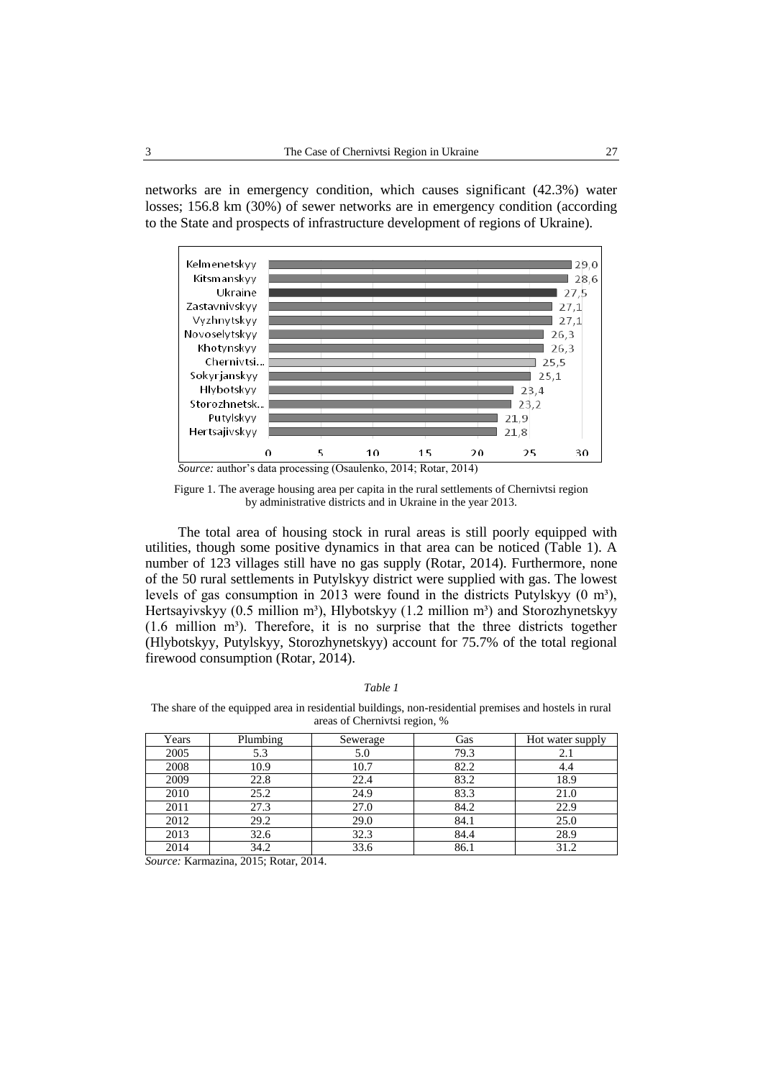networks are in emergency condition, which causes significant (42.3%) water losses; 156.8 km (30%) of sewer networks are in emergency condition (according to the State and prospects of infrastructure development of regions of Ukraine).



Figure 1. The average housing area per capita in the rural settlements of Chernivtsi region by administrative districts and in Ukraine in the year 2013.

The total area of housing stock in rural areas is still poorly equipped with utilities, though some positive dynamics in that area can be noticed (Table 1). A number of 123 villages still have no gas supply (Rotar, 2014). Furthermore, none of the 50 rural settlements in Putylskyy district were supplied with gas. The lowest levels of gas consumption in 2013 were found in the districts Putylskyy  $(0 \text{ m}^3)$ , Hertsayivskyy (0.5 million m<sup>3</sup>), Hlybotskyy (1.2 million m<sup>3</sup>) and Storozhynetskyy  $(1.6 \text{ million } m<sup>3</sup>)$ . Therefore, it is no surprise that the three districts together (Hlybotskyy, Putylskyy, Storozhynetskyy) account for 75.7% of the total regional firewood consumption (Rotar, 2014).

| anı |
|-----|
|-----|

The share of the equipped area in residential buildings, non-residential premises and hostels in rural areas of Chernivtsi region, %

| Years | Plumbing | Sewerage | Gas  | Hot water supply |
|-------|----------|----------|------|------------------|
| 2005  | 5.3      | 5.0      | 79.3 | 2.1              |
| 2008  | 10.9     | 10.7     | 82.2 | 4.4              |
| 2009  | 22.8     | 22.4     | 83.2 | 18.9             |
| 2010  | 25.2     | 24.9     | 83.3 | 21.0             |
| 2011  | 27.3     | 27.0     | 84.2 | 22.9             |
| 2012  | 29.2     | 29.0     | 84.1 | 25.0             |
| 2013  | 32.6     | 32.3     | 84.4 | 28.9             |
| 2014  | 34.2     | 33.6     | 86.1 | 31.2             |

*Source:* Karmazina, 2015; Rotar, 2014.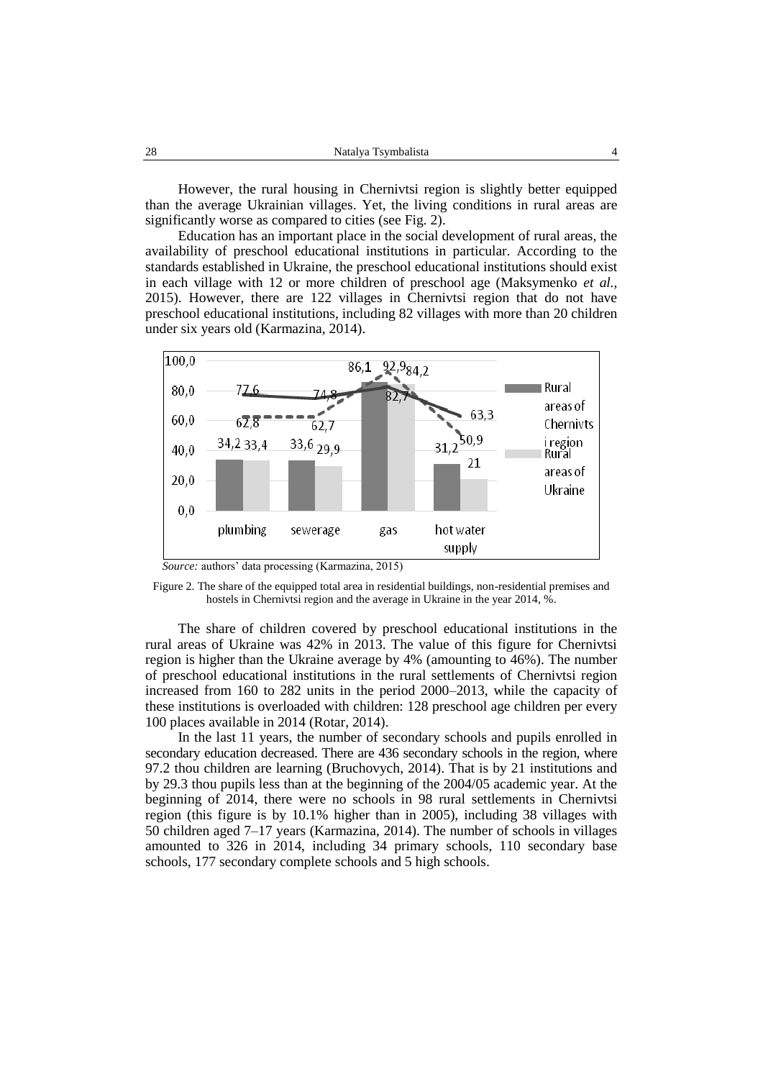However, the rural housing in Chernivtsi region is slightly better equipped than the average Ukrainian villages. Yet, the living conditions in rural areas are significantly worse as compared to cities (see Fig. 2).

Education has an important place in the social development of rural areas, the availability of preschool educational institutions in particular. According to the standards established in Ukraine, the preschool educational institutions should exist in each village with 12 or more children of preschool age (Maksymenko *et al.,* 2015). However, there are 122 villages in Chernivtsi region that do not have preschool educational institutions, including 82 villages with more than 20 children under six years old (Karmazina, 2014).



*Source:* authors' data processing (Karmazina, 2015)



The share of children covered by preschool educational institutions in the rural areas of Ukraine was 42% in 2013. The value of this figure for Chernivtsi region is higher than the Ukraine average by 4% (amounting to 46%). The number of preschool educational institutions in the rural settlements of Chernivtsi region increased from 160 to 282 units in the period 2000–2013, while the capacity of these institutions is overloaded with children: 128 preschool age children per every 100 places available in 2014 (Rotar, 2014).

In the last 11 years, the number of secondary schools and pupils enrolled in secondary education decreased. There are 436 secondary schools in the region, where 97.2 thou children are learning (Bruchovych, 2014). That is by 21 institutions and by 29.3 thou pupils less than at the beginning of the 2004/05 academic year. At the beginning of 2014, there were no schools in 98 rural settlements in Chernivtsi region (this figure is by 10.1% higher than in 2005), including 38 villages with 50 children aged 7–17 years (Karmazina, 2014). The number of schools in villages amounted to 326 in 2014, including 34 primary schools, 110 secondary base schools, 177 secondary complete schools and 5 high schools.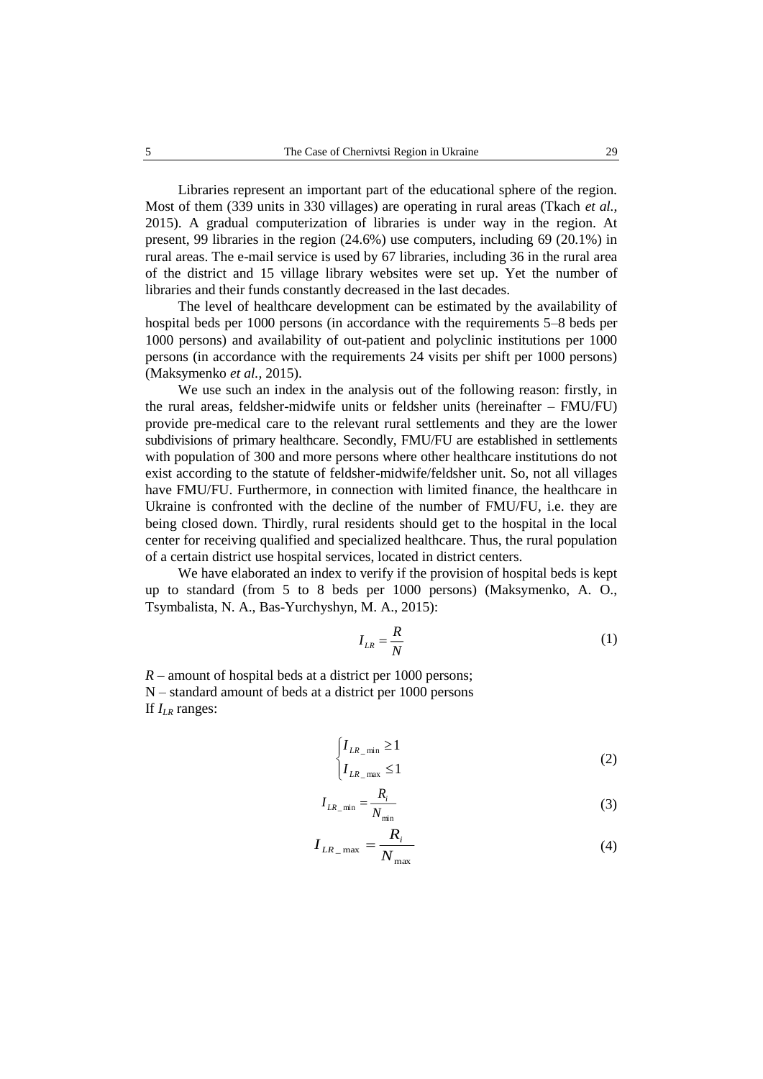Libraries represent an important part of the educational sphere of the region. Most of them (339 units in 330 villages) are operating in rural areas (Tkach *et al.*, 2015). A gradual computerization of libraries is under way in the region. At present, 99 libraries in the region (24.6%) use computers, including 69 (20.1%) in rural areas. The e-mail service is used by 67 libraries, including 36 in the rural area of the district and 15 village library websites were set up. Yet the number of libraries and their funds constantly decreased in the last decades.

The level of healthcare development can be estimated by the availability of hospital beds per 1000 persons (in accordance with the requirements 5–8 beds per 1000 persons) and availability of out-patient and polyclinic institutions per 1000 persons (in accordance with the requirements 24 visits per shift per 1000 persons) (Maksymenko *et al.,* 2015).

We use such an index in the analysis out of the following reason: firstly, in the rural areas, feldsher-midwife units or feldsher units (hereinafter – FMU/FU) provide pre-medical care to the relevant rural settlements and they are the lower subdivisions of primary healthcare. Secondly, FMU/FU are established in settlements with population of 300 and more persons where other healthcare institutions do not exist according to the statute of feldsher-midwife/feldsher unit. So, not all villages have FMU/FU. Furthermore, in connection with limited finance, the healthcare in Ukraine is confronted with the decline of the number of FMU/FU, i.e. they are being closed down. Thirdly, rural residents should get to the hospital in the local center for receiving qualified and specialized healthcare. Thus, the rural population of a certain district use hospital services, located in district centers.

We have elaborated an index to verify if the provision of hospital beds is kept up to standard (from 5 to 8 beds per 1000 persons) (Maksymenko, A. O., Tsymbalista, N. A., Bas-Yurchyshyn, M. A., 2015):

$$
I_{LR} = \frac{R}{N} \tag{1}
$$

*R* – amount of hospital beds at a district per 1000 persons; N – standard amount of beds at a district per 1000 persons If *ILR* ranges:

$$
\begin{cases} I_{LR\_min} \ge 1 \\ I_{LR\_max} \le 1 \end{cases}
$$
 (2)

$$
I_{LR\_min} = \frac{R_i}{N_{min}} \tag{3}
$$

$$
I_{LR_{\text{max}}} = \frac{R_i}{N_{\text{max}}} \tag{4}
$$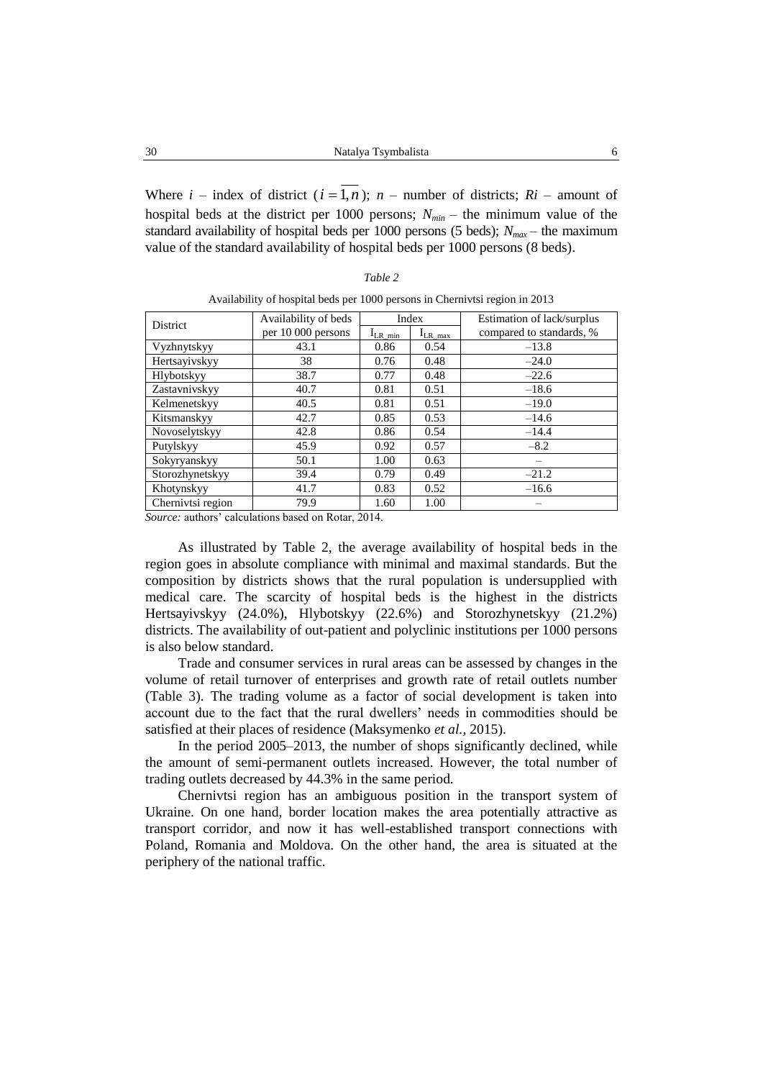Where  $i$  – index of district ( $i = 1, n$ );  $n$  – number of districts;  $R_i$  – amount of hospital beds at the district per 1000 persons;  $N_{min}$  – the minimum value of the standard availability of hospital beds per 1000 persons (5 beds);  $N_{max}$  – the maximum value of the standard availability of hospital beds per 1000 persons (8 beds).

| ,,,,, |  |
|-------|--|
|-------|--|

| District          | Availability of beds | Index                            |      | Estimation of lack/surplus |  |  |  |
|-------------------|----------------------|----------------------------------|------|----------------------------|--|--|--|
|                   | per 10 000 persons   | $I_{LR \, max}$<br>$I_{LR\_min}$ |      | compared to standards, %   |  |  |  |
| Vyzhnytskyy       | 43.1                 | 0.86                             | 0.54 | $-13.8$                    |  |  |  |
| Hertsayivskyy     | 38                   | 0.76                             | 0.48 | $-24.0$                    |  |  |  |
| Hlybotskyy        | 38.7                 | 0.77                             | 0.48 | $-22.6$                    |  |  |  |
| Zastavnivskyy     | 40.7                 | 0.81                             | 0.51 | $-18.6$                    |  |  |  |
| Kelmenetskyy      | 40.5                 | 0.81                             | 0.51 | $-19.0$                    |  |  |  |
| Kitsmanskyy       | 42.7                 | 0.85                             | 0.53 | $-14.6$                    |  |  |  |
| Novoselytskyy     | 42.8                 | 0.86                             | 0.54 | $-14.4$                    |  |  |  |
| Putylskyy         | 45.9                 | 0.92                             | 0.57 | $-8.2$                     |  |  |  |
| Sokyryanskyy      | 50.1                 | 1.00                             | 0.63 |                            |  |  |  |
| Storozhynetskyy   | 39.4                 | 0.79                             | 0.49 | $-21.2$                    |  |  |  |
| Khotynskyy        | 41.7                 | 0.83                             | 0.52 | $-16.6$                    |  |  |  |
| Chernivtsi region | 79.9                 | 1.60                             | 1.00 |                            |  |  |  |

| Availability of hospital beds per 1000 persons in Chernivtsi region in 2013 |  |  |  |
|-----------------------------------------------------------------------------|--|--|--|
|-----------------------------------------------------------------------------|--|--|--|

*Source:* authors' calculations based on Rotar, 2014*.*

As illustrated by Table 2, the average availability of hospital beds in the region goes in absolute compliance with minimal and maximal standards. But the composition by districts shows that the rural population is undersupplied with medical care. The scarcity of hospital beds is the highest in the districts Hertsayivskyy (24.0%), Hlybotskyy (22.6%) and Storozhynetskyy (21.2%) districts. The availability of out-patient and polyclinic institutions per 1000 persons is also below standard.

Trade and consumer services in rural areas can be assessed by changes in the volume of retail turnover of enterprises and growth rate of retail outlets number (Table 3). The trading volume as a factor of social development is taken into account due to the fact that the rural dwellers' needs in commodities should be satisfied at their places of residence (Maksymenko *et al.,* 2015).

In the period 2005–2013, the number of shops significantly declined, while the amount of semi-permanent outlets increased. However, the total number of trading outlets decreased by 44.3% in the same period.

Chernivtsi region has an ambiguous position in the transport system of Ukraine. On one hand, border location makes the area potentially attractive as transport corridor, and now it has well-established transport connections with Poland, Romania and Moldova. On the other hand, the area is situated at the periphery of the national traffic.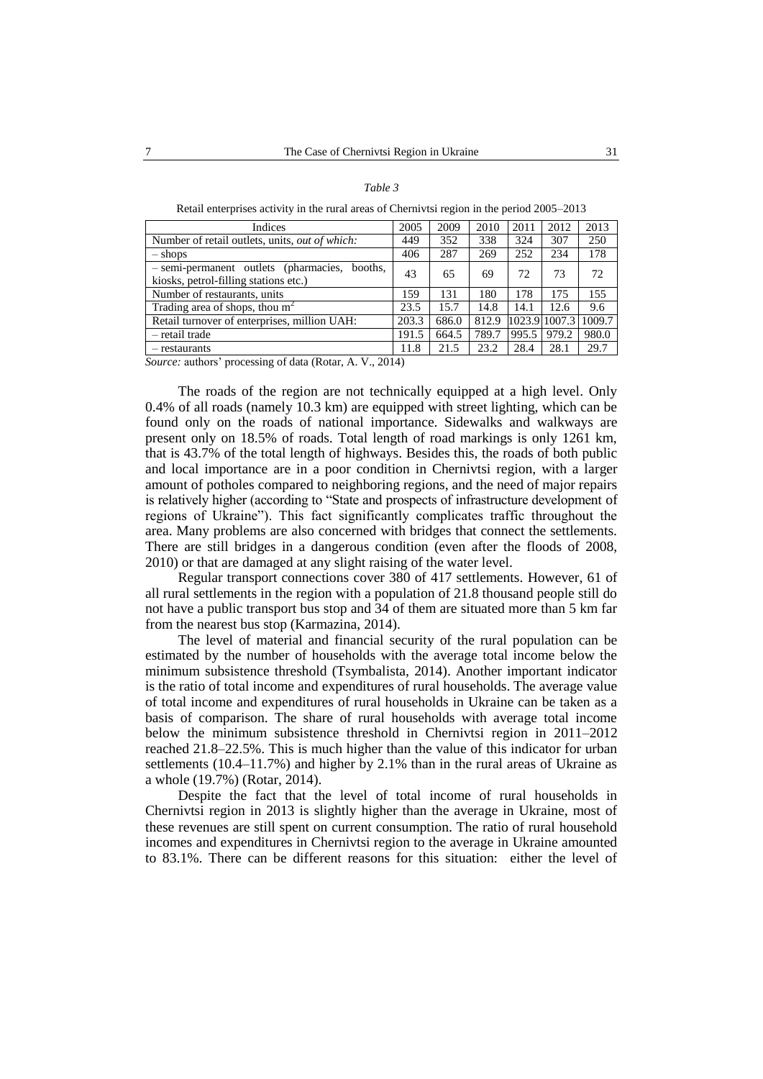| 2005  | 2009                                                     | 2010  | 2011  | 2012  | 2013          |
|-------|----------------------------------------------------------|-------|-------|-------|---------------|
| 449   | 352                                                      | 338   | 324   | 307   | 250           |
| 406   | 287                                                      | 269   | 252   | 234   | 178           |
| 43    | 65                                                       | 69    | 72    | 73    | 72            |
| 159   | 131                                                      | 180   | 178   | 175   | 155           |
| 23.5  | 15.7                                                     | 14.8  | 14.1  | 12.6  | 9.6           |
| 203.3 | 686.0                                                    | 812.9 |       |       | 1009.7        |
| 191.5 | 664.5                                                    | 789.7 | 995.5 | 979.2 | 980.0         |
| 11.8  | 21.5                                                     | 23.2  | 28.4  | 28.1  | 29.7          |
|       | $\alpha$ is a second of $\alpha$ is a second of $\alpha$ |       |       |       | 1023.9 1007.3 |

*Table 3* Retail enterprises activity in the rural areas of Chernivtsi region in the period 2005–2013

*Source:* authors' processing of data (Rotar, A. V., 2014)

The roads of the region are not technically equipped at a high level. Only 0.4% of all roads (namely 10.3 km) are equipped with street lighting, which can be found only on the roads of national importance. Sidewalks and walkways are present only on 18.5% of roads. Total length of road markings is only 1261 km, that is 43.7% of the total length of highways. Besides this, the roads of both public and local importance are in a poor condition in Chernivtsi region, with a larger amount of potholes compared to neighboring regions, and the need of major repairs is relatively higher (according to "State and prospects of infrastructure development of regions of Ukraine"). This fact significantly complicates traffic throughout the area. Many problems are also concerned with bridges that connect the settlements. There are still bridges in a dangerous condition (even after the floods of 2008, 2010) or that are damaged at any slight raising of the water level.

Regular transport connections cover 380 of 417 settlements. However, 61 of all rural settlements in the region with a population of 21.8 thousand people still do not have a public transport bus stop and 34 of them are situated more than 5 km far from the nearest bus stop (Karmazina, 2014).

The level of material and financial security of the rural population can be estimated by the number of households with the average total income below the minimum subsistence threshold (Tsymbalista, 2014). Another important indicator is the ratio of total income and expenditures of rural households. The average value of total income and expenditures of rural households in Ukraine can be taken as a basis of comparison. The share of rural households with average total income below the minimum subsistence threshold in Chernivtsi region in 2011–2012 reached 21.8–22.5%. This is much higher than the value of this indicator for urban settlements (10.4–11.7%) and higher by 2.1% than in the rural areas of Ukraine as a whole (19.7%) (Rotar, 2014).

Despite the fact that the level of total income of rural households in Chernivtsi region in 2013 is slightly higher than the average in Ukraine, most of these revenues are still spent on current consumption. The ratio of rural household incomes and expenditures in Chernivtsi region to the average in Ukraine amounted to 83.1%. There can be different reasons for this situation: either the level of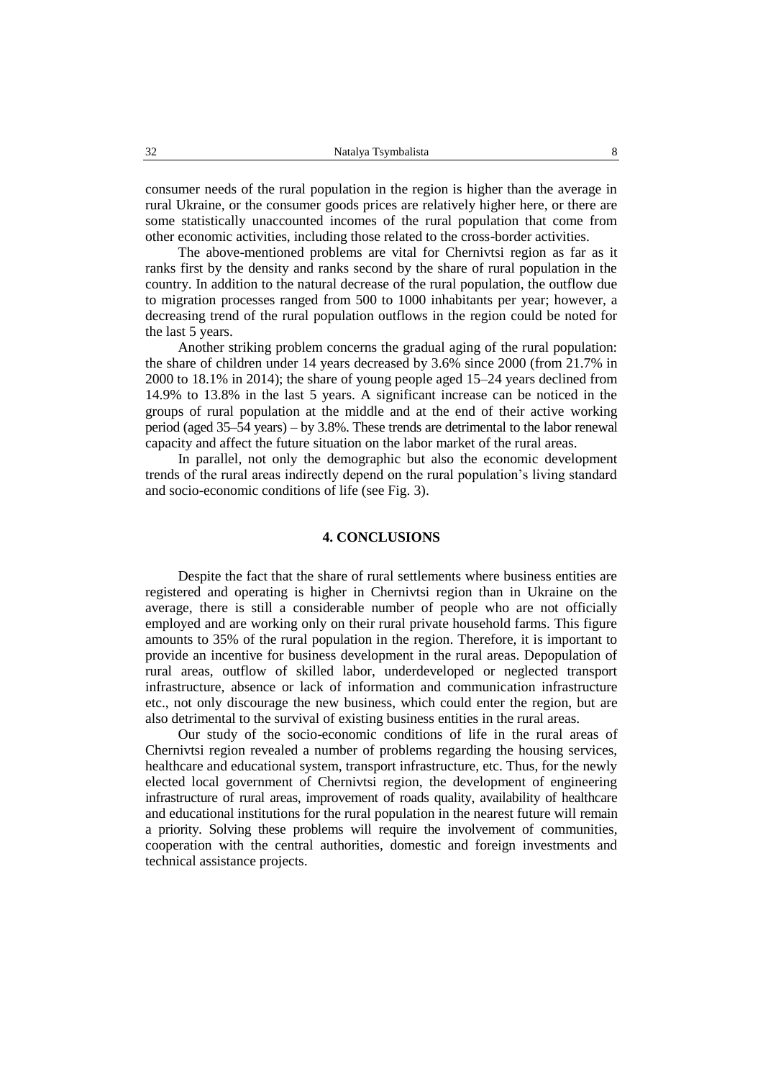consumer needs of the rural population in the region is higher than the average in rural Ukraine, or the consumer goods prices are relatively higher here, or there are some statistically unaccounted incomes of the rural population that come from other economic activities, including those related to the cross-border activities.

The above-mentioned problems are vital for Chernivtsi region as far as it ranks first by the density and ranks second by the share of rural population in the country. In addition to the natural decrease of the rural population, the outflow due to migration processes ranged from 500 to 1000 inhabitants per year; however, a decreasing trend of the rural population outflows in the region could be noted for the last 5 years.

Another striking problem concerns the gradual aging of the rural population: the share of children under 14 years decreased by 3.6% since 2000 (from 21.7% in 2000 to 18.1% in 2014); the share of young people aged 15–24 years declined from 14.9% to 13.8% in the last 5 years. A significant increase can be noticed in the groups of rural population at the middle and at the end of their active working period (aged 35–54 years) – by 3.8%. These trends are detrimental to the labor renewal capacity and affect the future situation on the labor market of the rural areas.

In parallel, not only the demographic but also the economic development trends of the rural areas indirectly depend on the rural population's living standard and socio-economic conditions of life (see Fig. 3).

#### **4. CONCLUSIONS**

Despite the fact that the share of rural settlements where business entities are registered and operating is higher in Chernivtsi region than in Ukraine on the average, there is still a considerable number of people who are not officially employed and are working only on their rural private household farms. This figure amounts to 35% of the rural population in the region. Therefore, it is important to provide an incentive for business development in the rural areas. Depopulation of rural areas, outflow of skilled labor, underdeveloped or neglected transport infrastructure, absence or lack of information and communication infrastructure etc., not only discourage the new business, which could enter the region, but are also detrimental to the survival of existing business entities in the rural areas.

Our study of the socio-economic conditions of life in the rural areas of Chernivtsi region revealed a number of problems regarding the housing services, healthcare and educational system, transport infrastructure, etc. Thus, for the newly elected local government of Chernivtsi region, the development of engineering infrastructure of rural areas, improvement of roads quality, availability of healthcare and educational institutions for the rural population in the nearest future will remain a priority. Solving these problems will require the involvement of communities, cooperation with the central authorities, domestic and foreign investments and technical assistance projects.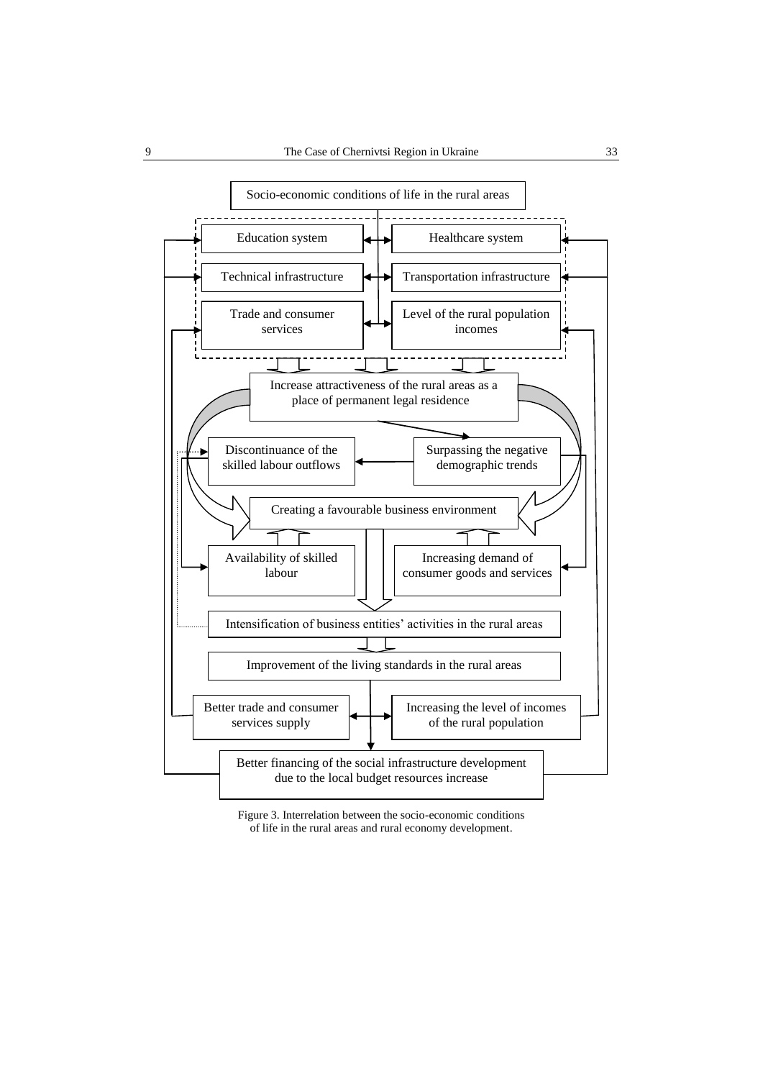

Figure 3. Interrelation between the socio-economic conditions of life in the rural areas and rural economy development.